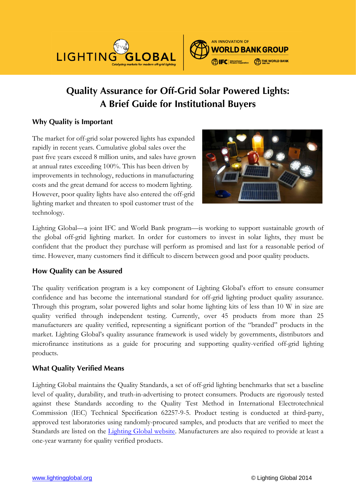

# **Quality Assurance for Off-Grid Solar Powered Lights: A Brief Guide for Institutional Buyers**

## **Why Quality is Important**

The market for off-grid solar powered lights has expanded rapidly in recent years. Cumulative global sales over the past five years exceed 8 million units, and sales have grown at annual rates exceeding 100%. This has been driven by improvements in technology, reductions in manufacturing costs and the great demand for access to modern lighting. However, poor quality lights have also entered the off-grid lighting market and threaten to spoil customer trust of the technology.



Lighting Global—a joint IFC and World Bank program—is working to support sustainable growth of the global off-grid lighting market. In order for customers to invest in solar lights, they must be confident that the product they purchase will perform as promised and last for a reasonable period of time. However, many customers find it difficult to discern between good and poor quality products.

## **How Quality can be Assured**

The quality verification program is a key component of Lighting Global's effort to ensure consumer confidence and has become the international standard for off-grid lighting product quality assurance. Through this program, solar powered lights and solar home lighting kits of less than 10 W in size are quality verified through independent testing. Currently, over 45 products from more than 25 manufacturers are quality verified, representing a significant portion of the "branded" products in the market. Lighting Global's quality assurance framework is used widely by governments, distributors and microfinance institutions as a guide for procuring and supporting quality-verified off-grid lighting products.

## **What Quality Verified Means**

Lighting Global maintains the Quality Standards, a set of off-grid lighting benchmarks that set a baseline level of quality, durability, and truth-in-advertising to protect consumers. Products are rigorously tested against these Standards according to the Quality Test Method in International Electrotechnical Commission (IEC) Technical Specification 62257-9-5. Product testing is conducted at third-party, approved test laboratories using randomly-procured samples, and products that are verified to meet the Standards are listed on the [Lighting Global website.](http://www.lightingglobal.org/products) Manufacturers are also required to provide at least a one-year warranty for quality verified products.